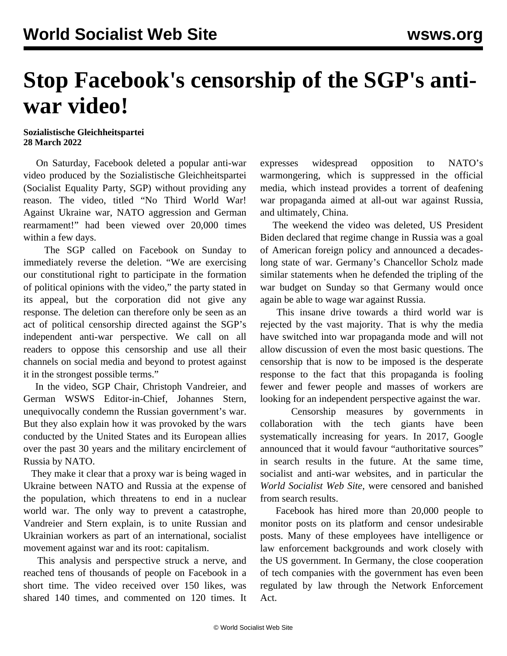## **Stop Facebook's censorship of the SGP's antiwar video!**

## **Sozialistische Gleichheitspartei 28 March 2022**

 On Saturday, Facebook deleted a popular anti-war video produced by the Sozialistische Gleichheitspartei (Socialist Equality Party, SGP) without providing any reason. The video, titled "No Third World War! Against Ukraine war, NATO aggression and German rearmament!" had been viewed over 20,000 times within a few days.

 The SGP called on Facebook on Sunday to immediately reverse the deletion. "We are exercising our constitutional right to participate in the formation of political opinions with the video," the party stated in its appeal, but the corporation did not give any response. The deletion can therefore only be seen as an act of political censorship directed against the SGP's independent anti-war perspective. We call on all readers to oppose this censorship and use all their channels on social media and beyond to protest against it in the strongest possible terms."

 In the video, SGP Chair, Christoph Vandreier, and German WSWS Editor-in-Chief, Johannes Stern, unequivocally condemn the Russian government's war. But they also explain how it was provoked by the wars conducted by the United States and its European allies over the past 30 years and the military encirclement of Russia by NATO.

 They make it clear that a proxy war is being waged in Ukraine between NATO and Russia at the expense of the population, which threatens to end in a nuclear world war. The only way to prevent a catastrophe, Vandreier and Stern explain, is to unite Russian and Ukrainian workers as part of an international, socialist movement against war and its root: capitalism.

 This analysis and perspective struck a nerve, and reached tens of thousands of people on Facebook in a short time. The video received over 150 likes, was shared 140 times, and commented on 120 times. It expresses widespread opposition to NATO's warmongering, which is suppressed in the official media, which instead provides a torrent of deafening war propaganda aimed at all-out war against Russia, and ultimately, China.

 The weekend the video was deleted, US President Biden declared that regime change in Russia was a goal of American foreign policy and announced a decadeslong state of war. Germany's Chancellor Scholz made similar statements when he defended the tripling of the war budget on Sunday so that Germany would once again be able to wage war against Russia.

 This insane drive towards a third world war is rejected by the vast majority. That is why the media have switched into war propaganda mode and will not allow discussion of even the most basic questions. The censorship that is now to be imposed is the desperate response to the fact that this propaganda is fooling fewer and fewer people and masses of workers are looking for an independent perspective against the war.

 Censorship measures by governments in collaboration with the tech giants have been systematically increasing for years. In 2017, Google announced that it would favour "authoritative sources" in search results in the future. At the same time, socialist and anti-war websites, and in particular the *World Socialist Web Site*, were censored and banished from search results.

 Facebook has hired more than 20,000 people to monitor posts on its platform and censor undesirable posts. Many of these employees have intelligence or law enforcement backgrounds and work closely with the US government. In Germany, the close cooperation of tech companies with the government has even been regulated by law through the Network Enforcement Act.